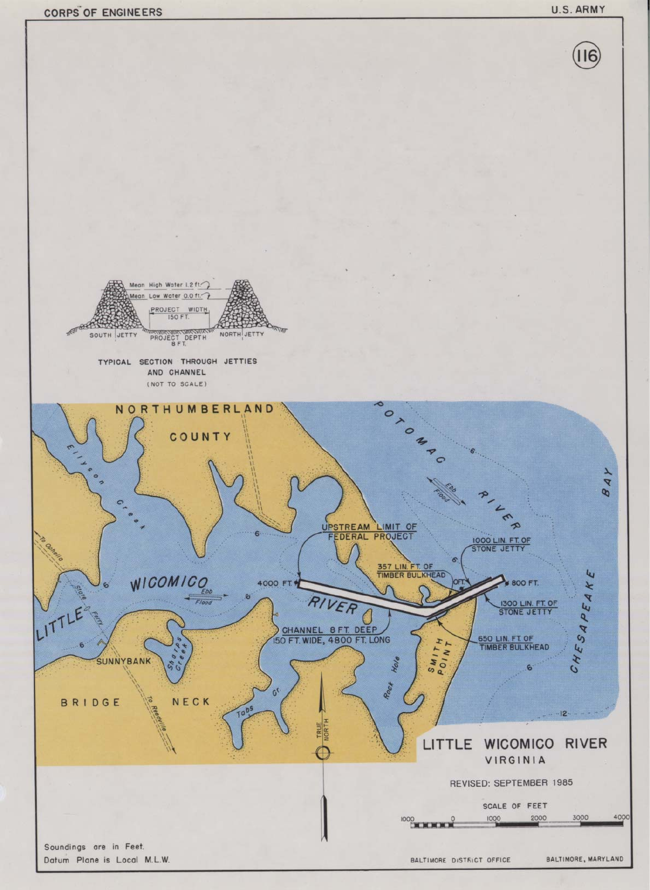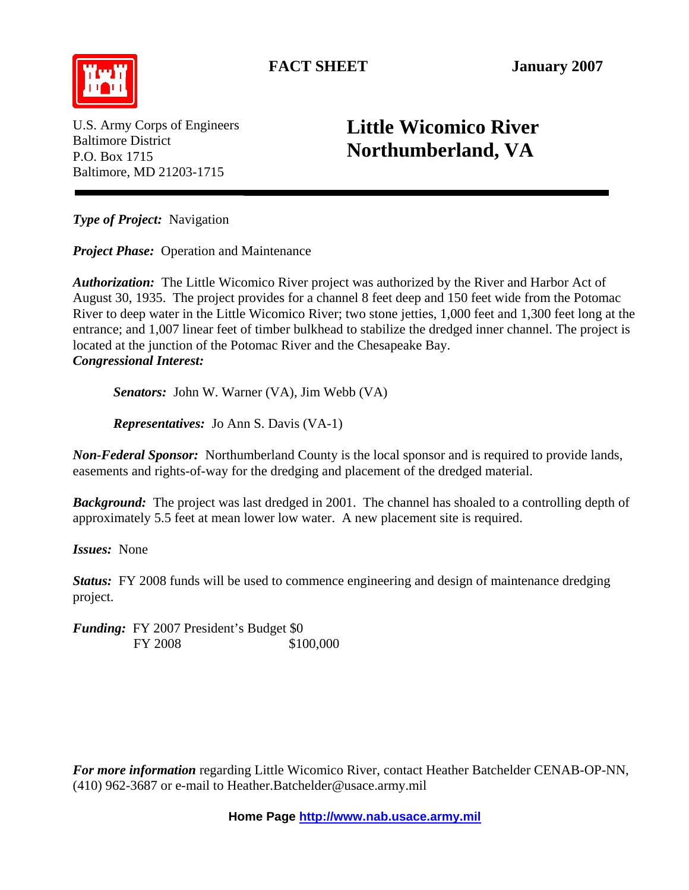

U.S. Army Corps of Engineers Baltimore District P.O. Box 1715 Baltimore, MD 21203-1715

## **Little Wicomico River Northumberland, VA**

*Type of Project:* Navigation

*Project Phase:* Operation and Maintenance

*Authorization:* The Little Wicomico River project was authorized by the River and Harbor Act of August 30, 1935. The project provides for a channel 8 feet deep and 150 feet wide from the Potomac River to deep water in the Little Wicomico River; two stone jetties, 1,000 feet and 1,300 feet long at the entrance; and 1,007 linear feet of timber bulkhead to stabilize the dredged inner channel. The project is located at the junction of the Potomac River and the Chesapeake Bay. *Congressional Interest:*

 *Senators:* John W. Warner (VA), Jim Webb (VA)

*Representatives:* Jo Ann S. Davis (VA-1)

*Non-Federal Sponsor:* Northumberland County is the local sponsor and is required to provide lands, easements and rights-of-way for the dredging and placement of the dredged material.

*Background:* The project was last dredged in 2001. The channel has shoaled to a controlling depth of approximately 5.5 feet at mean lower low water. A new placement site is required.

*Issues:* None

*Status:* FY 2008 funds will be used to commence engineering and design of maintenance dredging project.

*Funding:* FY 2007 President's Budget \$0 FY 2008 \$100,000

*For more information* regarding Little Wicomico River, contact Heather Batchelder CENAB-OP-NN, (410) 962-3687 or e-mail to Heather.Batchelde[r@usace.army.mil](mailto:Monte.Franklin@usace.army.mil)